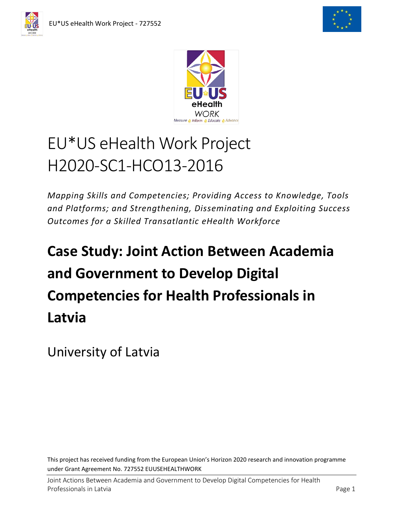



# EU\*US eHealth Work Project H2020-SC1-HCO13-2016

*Mapping Skills and Competencies; Providing Access to Knowledge, Tools and Platforms; and Strengthening, Disseminating and Exploiting Success Outcomes for a Skilled Transatlantic eHealth Workforce*

# **Case Study: Joint Action Between Academia and Government to Develop Digital Competencies for Health Professionals in Latvia**

University of Latvia

This project has received funding from the European Union's Horizon 2020 research and innovation programme under Grant Agreement No. 727552 EUUSEHEALTHWORK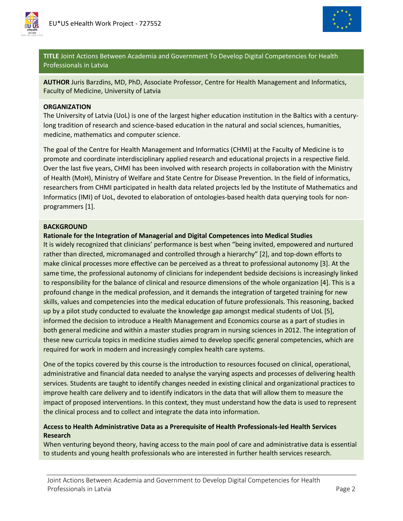



**TITLE** Joint Actions Between Academia and Government To Develop Digital Competencies for Health Professionals in Latvia

**AUTHOR** Juris Barzdins, MD, PhD, Associate Professor, Centre for Health Management and Informatics, Faculty of Medicine, University of Latvia

#### **ORGANIZATION**

The University of Latvia (UoL) is one of the largest higher education institution in the Baltics with a centurylong tradition of research and science-based education in the natural and social sciences, humanities, medicine, mathematics and computer science.

The goal of the Centre for Health Management and Informatics (CHMI) at the Faculty of Medicine is to promote and coordinate interdisciplinary applied research and educational projects in a respective field. Over the last five years, CHMI has been involved with research projects in collaboration with the Ministry of Health (MoH), Ministry of Welfare and State Centre for Disease Prevention. In the field of informatics, researchers from CHMI participated in health data related projects led by the Institute of Mathematics and Informatics (IMI) of UoL, devoted to elaboration of ontologies-based health data querying tools for nonprogrammers [1].

### **BACKGROUND**

### **Rationale for the Integration of Managerial and Digital Competences into Medical Studies**

It is widely recognized that clinicians' performance is best when "being invited, empowered and nurtured rather than directed, micromanaged and controlled through a hierarchy" [2], and top-down efforts to make clinical processes more effective can be perceived as a threat to professional autonomy [3]. At the same time, the professional autonomy of clinicians for independent bedside decisions is increasingly linked to responsibility for the balance of clinical and resource dimensions of the whole organization [4]. This is a profound change in the medical profession, and it demands the integration of targeted training for new skills, values and competencies into the medical education of future professionals. This reasoning, backed up by a pilot study conducted to evaluate the knowledge gap amongst medical students of UoL [5], informed the decision to introduce a Health Management and Economics course as a part of studies in both general medicine and within a master studies program in nursing sciences in 2012. The integration of these new curricula topics in medicine studies aimed to develop specific general competencies, which are required for work in modern and increasingly complex health care systems.

One of the topics covered by this course is the introduction to resources focused on clinical, operational, administrative and financial data needed to analyse the varying aspects and processes of delivering health services. Students are taught to identify changes needed in existing clinical and organizational practices to improve health care delivery and to identify indicators in the data that will allow them to measure the impact of proposed interventions. In this context, they must understand how the data is used to represent the clinical process and to collect and integrate the data into information.

## **Access to Health Administrative Data as a Prerequisite of Health Professionals-led Health Services Research**

When venturing beyond theory, having access to the main pool of care and administrative data is essential to students and young health professionals who are interested in further health services research.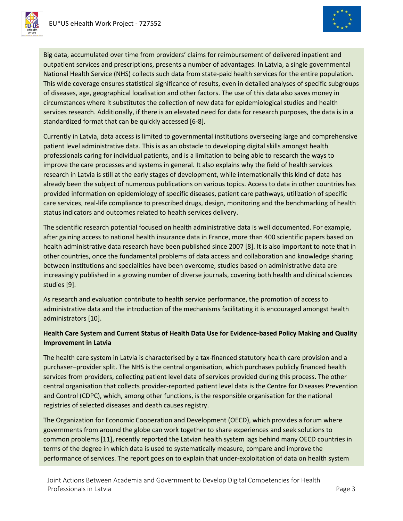



Big data, accumulated over time from providers' claims for reimbursement of delivered inpatient and outpatient services and prescriptions, presents a number of advantages. In Latvia, a single governmental National Health Service (NHS) collects such data from state-paid health services for the entire population. This wide coverage ensures statistical significance of results, even in detailed analyses of specific subgroups of diseases, age, geographical localisation and other factors. The use of this data also saves money in circumstances where it substitutes the collection of new data for epidemiological studies and health services research. Additionally, if there is an elevated need for data for research purposes, the data is in a standardized format that can be quickly accessed [6-8].

Currently in Latvia, data access is limited to governmental institutions overseeing large and comprehensive patient level administrative data. This is as an obstacle to developing digital skills amongst health professionals caring for individual patients, and is a limitation to being able to research the ways to improve the care processes and systems in general. It also explains why the field of health services research in Latvia is still at the early stages of development, while internationally this kind of data has already been the subject of numerous publications on various topics. Access to data in other countries has provided information on epidemiology of specific diseases, patient care pathways, utilization of specific care services, real-life compliance to prescribed drugs, design, monitoring and the benchmarking of health status indicators and outcomes related to health services delivery.

The scientific research potential focused on health administrative data is well documented. For example, after gaining access to national health insurance data in France, more than 400 scientific papers based on health administrative data research have been published since 2007 [8]. It is also important to note that in other countries, once the fundamental problems of data access and collaboration and knowledge sharing between institutions and specialities have been overcome, studies based on administrative data are increasingly published in a growing number of diverse journals, covering both health and clinical sciences studies [9].

As research and evaluation contribute to health service performance, the promotion of access to administrative data and the introduction of the mechanisms facilitating it is encouraged amongst health administrators [10].

# **Health Care System and Current Status of Health Data Use for Evidence-based Policy Making and Quality Improvement in Latvia**

The health care system in Latvia is characterised by a tax-financed statutory health care provision and a purchaser–provider split. The NHS is the central organisation, which purchases publicly financed health services from providers, collecting patient level data of services provided during this process. The other central organisation that collects provider-reported patient level data is the Centre for Diseases Prevention and Control (CDPC), which, among other functions, is the responsible organisation for the national registries of selected diseases and death causes registry.

The Organization for Economic Cooperation and Development (OECD), which provides a forum where governments from around the globe can work together to share experiences and seek solutions to common problems [11], recently reported the Latvian health system lags behind many OECD countries in terms of the degree in which data is used to systematically measure, compare and improve the performance of services. The report goes on to explain that under-exploitation of data on health system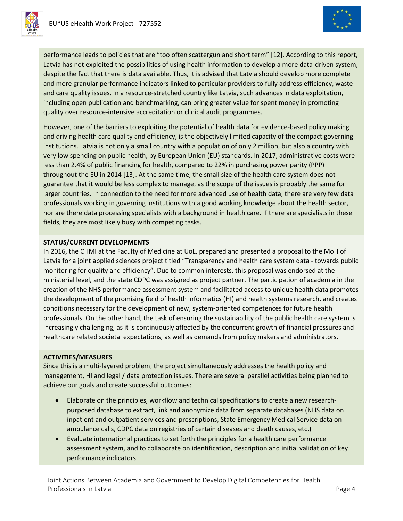



performance leads to policies that are "too often scattergun and short term" [12]. According to this report, Latvia has not exploited the possibilities of using health information to develop a more data-driven system, despite the fact that there is data available. Thus, it is advised that Latvia should develop more complete and more granular performance indicators linked to particular providers to fully address efficiency, waste and care quality issues. In a resource-stretched country like Latvia, such advances in data exploitation, including open publication and benchmarking, can bring greater value for spent money in promoting quality over resource-intensive accreditation or clinical audit programmes.

However, one of the barriers to exploiting the potential of health data for evidence-based policy making and driving health care quality and efficiency, is the objectively limited capacity of the compact governing institutions. Latvia is not only a small country with a population of only 2 million, but also a country with very low spending on public health, by European Union (EU) standards. In 2017, administrative costs were less than 2.4% of public financing for health, compared to 22% in purchasing power parity (PPP) throughout the EU in 2014 [13]. At the same time, the small size of the health care system does not guarantee that it would be less complex to manage, as the scope of the issues is probably the same for larger countries. In connection to the need for more advanced use of health data, there are very few data professionals working in governing institutions with a good working knowledge about the health sector, nor are there data processing specialists with a background in health care. If there are specialists in these fields, they are most likely busy with competing tasks.

## **STATUS/CURRENT DEVELOPMENTS**

In 2016, the CHMI at the Faculty of Medicine at UoL, prepared and presented a proposal to the MoH of Latvia for a joint applied sciences project titled "Transparency and health care system data - towards public monitoring for quality and efficiency". Due to common interests, this proposal was endorsed at the ministerial level, and the state CDPC was assigned as project partner. The participation of academia in the creation of the NHS performance assessment system and facilitated access to unique health data promotes the development of the promising field of health informatics (HI) and health systems research, and creates conditions necessary for the development of new, system-oriented competences for future health professionals. On the other hand, the task of ensuring the sustainability of the public health care system is increasingly challenging, as it is continuously affected by the concurrent growth of financial pressures and healthcare related societal expectations, as well as demands from policy makers and administrators.

## **ACTIVITIES/MEASURES**

Since this is a multi-layered problem, the project simultaneously addresses the health policy and management, HI and legal / data protection issues. There are several parallel activities being planned to achieve our goals and create successful outcomes:

- Elaborate on the principles, workflow and technical specifications to create a new researchpurposed database to extract, link and anonymize data from separate databases (NHS data on inpatient and outpatient services and prescriptions, State Emergency Medical Service data on ambulance calls, CDPC data on registries of certain diseases and death causes, etc.)
- Evaluate international practices to set forth the principles for a health care performance assessment system, and to collaborate on identification, description and initial validation of key performance indicators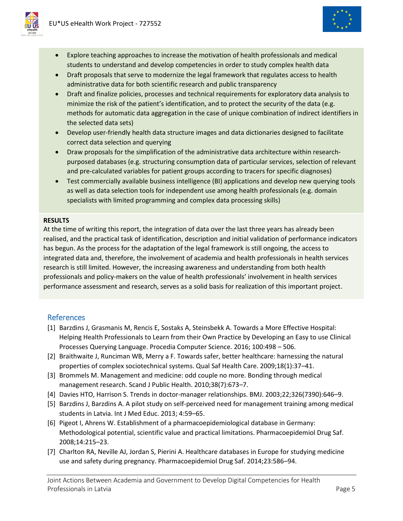

- Explore teaching approaches to increase the motivation of health professionals and medical students to understand and develop competencies in order to study complex health data
- Draft proposals that serve to modernize the legal framework that regulates access to health administrative data for both scientific research and public transparency
- Draft and finalize policies, processes and technical requirements for exploratory data analysis to minimize the risk of the patient's identification, and to protect the security of the data (e.g. methods for automatic data aggregation in the case of unique combination of indirect identifiers in the selected data sets)
- Develop user-friendly health data structure images and data dictionaries designed to facilitate correct data selection and querying
- Draw proposals for the simplification of the administrative data architecture within researchpurposed databases (e.g. structuring consumption data of particular services, selection of relevant and pre-calculated variables for patient groups according to tracers for specific diagnoses)
- Test commercially available business intelligence (BI) applications and develop new querying tools as well as data selection tools for independent use among health professionals (e.g. domain specialists with limited programming and complex data processing skills)

## **RESULTS**

At the time of writing this report, the integration of data over the last three years has already been realised, and the practical task of identification, description and initial validation of performance indicators has begun. As the process for the adaptation of the legal framework is still ongoing, the access to integrated data and, therefore, the involvement of academia and health professionals in health services research is still limited. However, the increasing awareness and understanding from both health professionals and policy-makers on the value of health professionals' involvement in health services performance assessment and research, serves as a solid basis for realization of this important project.

## References

- [1] Barzdins J, Grasmanis M, Rencis E, Sostaks A, Steinsbekk A. Towards a More Effective Hospital: Helping Health Professionals to Learn from their Own Practice by Developing an Easy to use Clinical Processes Querying Language. Procedia Computer Science. 2016; 100:498 – 506.
- [2] Braithwaite J, Runciman WB, Merry a F. Towards safer, better healthcare: harnessing the natural properties of complex sociotechnical systems. Qual Saf Health Care. 2009;18(1):37–41.
- [3] Brommels M. Management and medicine: odd couple no more. Bonding through medical management research. Scand J Public Health. 2010;38(7):673–7.
- [4] Davies HTO, Harrison S. Trends in doctor-manager relationships. BMJ. 2003;22;326(7390):646–9.
- [5] Barzdins J, Barzdins A. A pilot study on self-perceived need for management training among medical students in Latvia. Int J Med Educ. 2013; 4:59–65.
- [6] Pigeot I, Ahrens W. Establishment of a pharmacoepidemiological database in Germany: Methodological potential, scientific value and practical limitations. Pharmacoepidemiol Drug Saf. 2008;14:215–23.
- [7] Charlton RA, Neville AJ, Jordan S, Pierini A. Healthcare databases in Europe for studying medicine use and safety during pregnancy. Pharmacoepidemiol Drug Saf. 2014;23:586–94.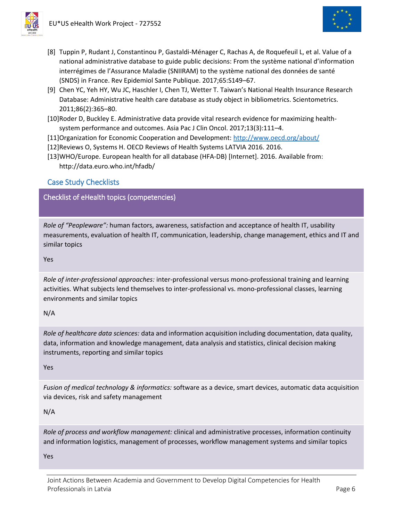

- [8] Tuppin P, Rudant J, Constantinou P, Gastaldi-Ménager C, Rachas A, de Roquefeuil L, et al. Value of a national administrative database to guide public decisions: From the système national d'information interrégimes de l'Assurance Maladie (SNIIRAM) to the système national des données de santé (SNDS) in France. Rev Epidemiol Sante Publique. 2017;65:S149–67.
- [9] Chen YC, Yeh HY, Wu JC, Haschler I, Chen TJ, Wetter T. Taiwan's National Health Insurance Research Database: Administrative health care database as study object in bibliometrics. Scientometrics. 2011;86(2):365–80.
- [10]Roder D, Buckley E. Administrative data provide vital research evidence for maximizing healthsystem performance and outcomes. Asia Pac J Clin Oncol. 2017;13(3):111–4.
- [11]Organization for Economic Cooperation and Development:<http://www.oecd.org/about/>
- [12]Reviews O, Systems H. OECD Reviews of Health Systems LATVIA 2016. 2016.
- [13]WHO/Europe. European health for all database (HFA-DB) [Internet]. 2016. Available from: http://data.euro.who.int/hfadb/

# Case Study Checklists

Checklist of eHealth topics (competencies)

*Role of "Peopleware":* human factors, awareness, satisfaction and acceptance of health IT, usability measurements, evaluation of health IT, communication, leadership, change management, ethics and IT and similar topics

Yes

*Role of inter-professional approaches:* inter-professional versus mono-professional training and learning activities. What subjects lend themselves to inter-professional vs. mono-professional classes, learning environments and similar topics

N/A

*Role of healthcare data sciences:* data and information acquisition including documentation, data quality, data, information and knowledge management, data analysis and statistics, clinical decision making instruments, reporting and similar topics

Yes

*Fusion of medical technology & informatics:* software as a device, smart devices, automatic data acquisition via devices, risk and safety management

N/A

*Role of process and workflow management:* clinical and administrative processes, information continuity and information logistics, management of processes, workflow management systems and similar topics

Yes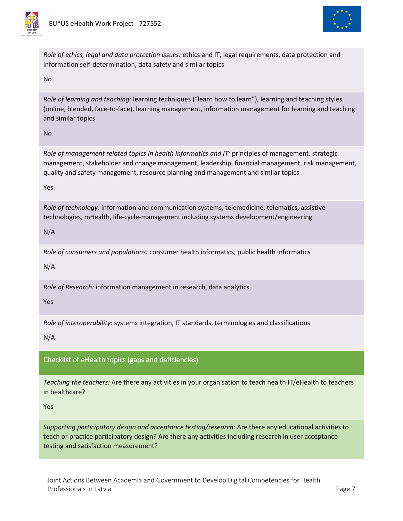



*Role of ethics, legal and data protection issues:* ethics and IT, legal requirements, data protection and information self-determination, data safety and similar topics

No

*Role of learning and teaching:* learning techniques ("learn how to learn"), learning and teaching styles (online, blended, face-to-face), learning management, information management for learning and teaching and similar topics

No

*Role of management related topics in health informatics and IT:* principles of management, strategic management, stakeholder and change management, leadership, financial management, risk management, quality and safety management, resource planning and management and similar topics

Yes

*Role of technology:* information and communication systems, telemedicine, telematics, assistive technologies, mHealth, life-cycle-management including systems development/engineering

N/A

*Role of consumers and populations:* consumer health informatics, public health informatics

N/A

*Role of Research:* information management in research, data analytics

Yes

*Role of interoperability:* systems integration, IT standards, terminologies and classifications

N/A

## Checklist of eHealth topics (gaps and deficiencies)

*Teaching the teachers:* Are there any activities in your organisation to teach health IT/eHealth to teachers in healthcare?

Yes

*Supporting participatory design and acceptance testing/research:* Are there any educational activities to teach or practice participatory design? Are there any activities including research in user acceptance testing and satisfaction measurement?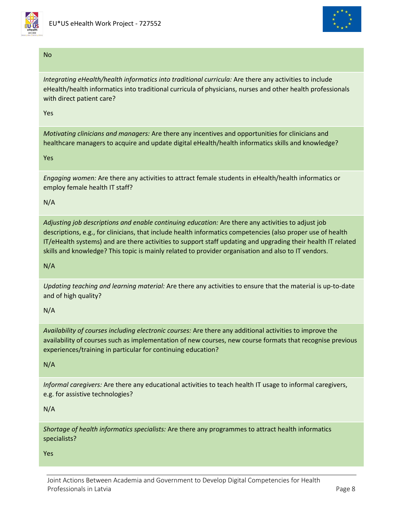



## No

*Integrating eHealth/health informatics into traditional curricula:* Are there any activities to include eHealth/health informatics into traditional curricula of physicians, nurses and other health professionals with direct patient care?

Yes

*Motivating clinicians and managers:* Are there any incentives and opportunities for clinicians and healthcare managers to acquire and update digital eHealth/health informatics skills and knowledge?

## Yes

*Engaging women:* Are there any activities to attract female students in eHealth/health informatics or employ female health IT staff?

## N/A

*Adjusting job descriptions and enable continuing education:* Are there any activities to adjust job descriptions, e.g., for clinicians, that include health informatics competencies (also proper use of health IT/eHealth systems) and are there activities to support staff updating and upgrading their health IT related skills and knowledge? This topic is mainly related to provider organisation and also to IT vendors.

## N/A

*Updating teaching and learning material:* Are there any activities to ensure that the material is up-to-date and of high quality?

## N/A

*Availability of courses including electronic courses:* Are there any additional activities to improve the availability of courses such as implementation of new courses, new course formats that recognise previous experiences/training in particular for continuing education?

## N/A

*Informal caregivers:* Are there any educational activities to teach health IT usage to informal caregivers, e.g. for assistive technologies?

## N/A

*Shortage of health informatics specialists:* Are there any programmes to attract health informatics specialists?

#### Yes